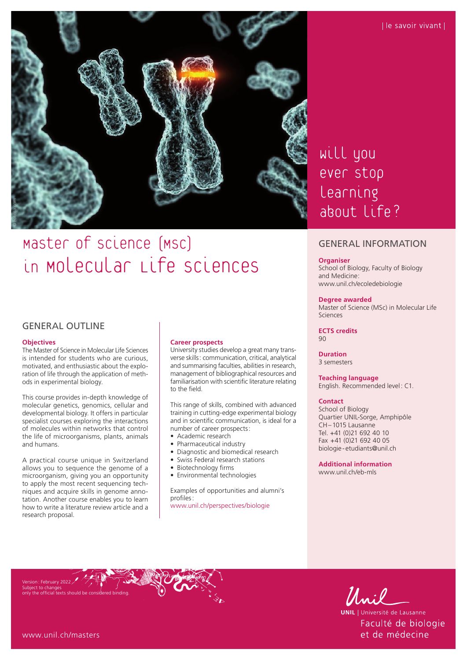

# Master of science (MSC) in Molecular Life Sciences

## GENERAL OUTLINE

#### **Objectives**

The Master of Science in Molecular Life Sciences is intended for students who are curious, motivated, and enthusiastic about the exploration of life through the application of methods in experimental biology.

This course provides in-depth knowledge of molecular genetics, genomics, cellular and developmental biology. It offers in particular specialist courses exploring the interactions of molecules within networks that control the life of microorganisms, plants, animals and humans.

A practical course unique in Switzerland allows you to sequence the genome of a microorganism, giving you an opportunity to apply the most recent sequencing techniques and acquire skills in genome annotation. Another course enables you to learn how to write a literature review article and a research proposal.

#### **Career prospects**

University studies develop a great many transverse skills: communication, critical, analytical and summarising faculties, abilities in research, management of bibliographical resources and familiarisation with scientific literature relating to the field.

This range of skills, combined with advanced training in cutting-edge experimental biology and in scientific communication, is ideal for a number of career prospects:

- Academic research
- Pharmaceutical industry<br>• Diagnostic and biomedia
- Diagnostic and biomedical research
- Swiss Federal research stations
- Biotechnology firms
- Environmental technologies

Examples of opportunities and alumni's profiles: [www.unil.ch/perspectives/biologie](http://www.unil.ch/perspectives/biologie)

## will you ever stop learning about Life?

### GENERAL INFORMATION

#### **Organiser**

School of Biology, Faculty of Biology and Medicine: [www.unil.ch/ecoledebiologie](http://www.unil.ch/ecoledebiologie)

#### **Degree awarded**

Master of Science (MSc) in Molecular Life Sciences

**ECTS credits**  $90$ 

**Duration** 3 semesters

#### **Teaching language**

English. Recommended level: C1.

#### **Contact**

School of Biology Quartier UNIL-Sorge, Amphipôle CH–1015 Lausanne Tel. +41 (0)21 692 40 10 Fax +41 (0)21 692 40 05 biologie -[etudiants@unil.ch](mailto:etudiants@unil.ch)

**Additional information**  [www.unil.ch/eb-mls](http://www.unil.ch/eb-mls)

Version: February 2022 Subject to changes only the official texts should be considered binding.



**UNIL** | Université de Lausanne Faculté de biologie et de médecine

[www.unil.ch/masters](http://www.unil.ch/masters)